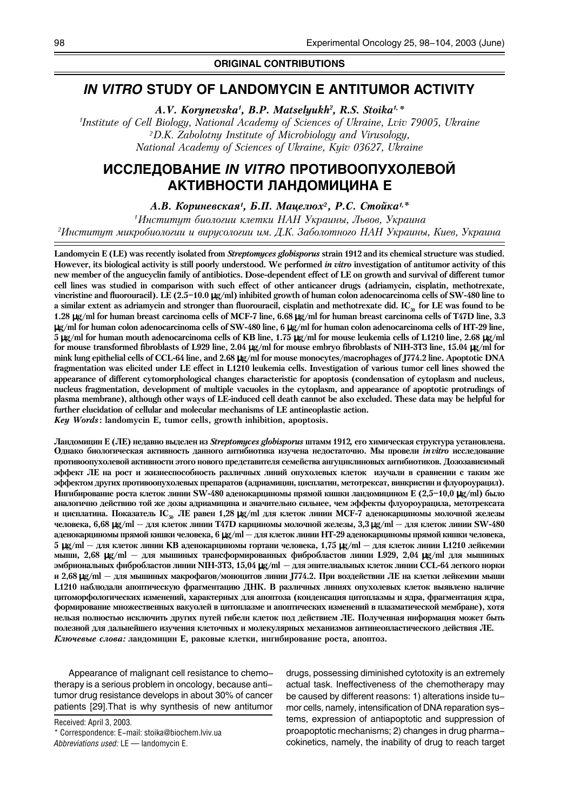### **ORIGINAL CONTRIBUTIONS**

## *IN VITRO* **STUDY OF LANDOMYCIN E ANTITUMOR ACTIVITY**

*A.V. Korynevska1 , B.P. Matselyukh2 , R.S. Stoika1,\**

*1 Institute of Cell Biology, National Academy of Sciences of Ukraine, Lviv 79005, Ukraine 2D.K. Zabolotny Institute of Microbiology and Virusology, National Academy of Sciences of Ukraine, Kyiv 03627, Ukraine*

# **ИССЛЕДОВАНИЕ** *IN VITRO* **ПРОТИВООПУХОЛЕВОЙ АКТИВНОСТИ ЛАНДОМИЦИНА Е**

*А.В. Кориневская<sup>1</sup>, Б.П. Мацелюх<sup>2</sup>, Р.С. Стойка<sup>1,\*</sup>* 

<sup>1</sup>Институт биологии клетки НАН Украины, Львов, Украина <sup>2</sup>Институт микробиологии и вирусологии им. Д.К. Заболотного НАН Украины, Киев, Украина

Landomycin E (LE) was recently isolated from *Streptomyces globisporus* strain 1912 and its chemical structure was studied. However, its biological activity is still poorly understood. We performed *in vitro* investigation of antitumor activity of this new member of the angucyclin family of antibiotics. Dose-dependent effect of LE on growth and survival of different tumor cell lines was studied in comparison with such effect of other anticancer drugs (adriamycin, cisplatin, methotrexate, vincristine and fluorouracil). LE (2.5–10.0 µg/ml) inhibited growth of human colon adenocarcinoma cells of SW-480 line to a similar extent as adriamycin and stronger than fluorouracil, cisplatin and methotrexate did. IC $_{\rm so}$  for LE was found to be 1.28 µg/ml for human breast carcinoma cells of MCF-7 line, 6.68 µg/ml for human breast carcinoma cells of T47D line, 3.3 µg/ml for human colon adenocarcinoma cells of SW-480 line, 6 µg/ml for human colon adenocarcinoma cells of HT-29 line, 5 µg/ml for human mouth adenocarcinoma cells of KB line, 1.75 µg/ml for mouse leukemia cells of L1210 line, 2.68 µg/ml for mouse transformed fibroblasts of L929 line, 2.04 µg/ml for mouse embryo fibroblasts of NIH-3T3 line, 15.04 µg/ml for mink lung epithelial cells of CCL-64 line, and 2.68 µg/ml for mouse monocytes/macrophages of J774.2 line. Apoptotic DNA fragmentation was elicited under LE effect in L1210 leukemia cells. Investigation of various tumor cell lines showed the appearance of different cytomorphological changes characteristic for apoptosis (condensation of cytoplasm and nucleus, nucleus fragmentation, development of multiple vacuoles in the cytoplasm, and appearance of apoptotic protrudings of plasma membrane), although other ways of LE-induced cell death cannot be also excluded. These data may be helpful for further elucidation of cellular and molecular mechanisms of LE antineoplastic action.

*Key Words* : landomycin E, tumor cells, growth inhibition, apoptosis.

Ландомицин Е (ЛЕ) недавно выделен из Streptomyces globisporus штамм 1912, его химическая структура установлена. Однако биологическая активность данного антибиотика изучена недостаточно. Мы провели *in vitro* исследование противоопухолевой активности этого нового представителя семейства ангуциклиновых антибиотиков. Дозозависимый эффект ЛЕ на рост и жизнеспособность различных линий опухолевых клеток изучали в сравнении с таким же эффектом других противоопухолевых препаратов (адриамицин, цисплатин, метотрексат, винкристин и флуороурацил). Ингибирование роста клеток линии SW-480 аденокарциномы прямой кишки ландомицином Е (2,5–10,0 µg/ml) было аналогично действию той же дозы адриамицина и значительно сильнее, чем эффекты флуороурацила, метотрексата и цисплатина. Показатель IC<sub>50</sub> ЛЕ равен 1,28 µg/ml для клеток линии МСF-7 аденокарциномы молочной железы человека, 6,68 µg/ml — для клеток линии Т47D карциномы молочной железы, 3,3 µg/ml — для клеток линии SW-480 аденокарциномы прямой кишки человека, 6 µg/ml — для клеток линии НТ-29 аденокарциномы прямой кишки человека, 5 µg/ml — для клеток линии KB аденокарциномы гортани человека, 1,75 µg/ml — для клеток линии L1210 лейкемии мыши, 2,68 µg/ml — для мышиных трансформированных фибробластов линии L929, 2,04 µg/ml для мышиных эмбриональных фибробластов линии NIH-3T3, 15,04 µg/ml — для эпителиальных клеток линии CCL-64 легкого норки и 2,68 µg/ml — для мышиных макрофагов/моноцитов линии J774.2. При воздействии ЛЕ на клетки лейкемии мыши L1210 наблюдали апоптическую фрагментацию ДНК. В различных линиях опухолевых клеток выявлено наличие щитоморфологических изменений, характерных для апоптоза (конденсация цитоплазмы и ядра, фрагментация ядра, формирование множественных вакуолей в цитоплазме и апоптических изменений в плазматической мембране), хотя нельзя полностью исключить других путей гибели клеток под действием ЛЕ. Полученная информация может быть полезной для дальнейшего изучения клеточных и молекулярных механизмов антинеопластического действия ЛЕ. *Ключевые слова: л*андомицин Е, раковые клетки, ингибирование роста, апоптоз.

Appearance of malignant cell resistance to chemotherapy is a serious problem in oncology, because antitumor drug resistance develops in about 30% of cancer patients [29].That is why synthesis of new antitumor

Received: April 3, 2003.

\* Correspondence: E-mail: stoika@biochem.lviv.ua *Abbreviations used:* LE — landomycin E.

drugs, possessing diminished cytotoxity is an extremely actual task. Ineffectiveness of the chemotherapy may be caused by different reasons: 1) alterations inside tumor cells, namely, intensification of DNA reparation systems, expression of antiapoptotic and suppression of proapoptotic mechanisms; 2) changes in drug pharmacokinetics, namely, the inability of drug to reach target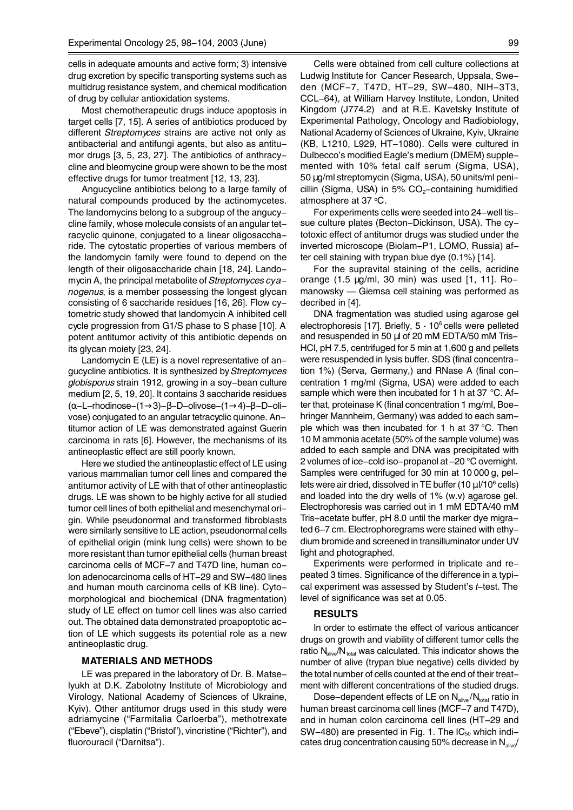cells in adequate amounts and active form; 3) intensive drug excretion by specific transporting systems such as multidrug resistance system, and chemical modification of drug by cellular antioxidation systems.

Most chemotherapeutic drugs induce apoptosis in target cells [7, 15]. A series of antibiotics produced by different *Streptomyces* strains are active not only as antibacterial and antifungi agents, but also as antitumor drugs [3, 5, 23, 27]. The antibiotics of anthracycline and bleomycine group were shown to be the most effective drugs for tumor treatment [12, 13, 23].

Angucycline antibiotics belong to a large family of natural compounds produced by the actinomycetes. The landomycins belong to a subgroup of the angucycline family, whose molecule consists of an angular tetracyclic quinone, conjugated to a linear oligosaccharide. The cytostatic properties of various members of the landomycin family were found to depend on the length of their oligosaccharide chain [18, 24]. Landomycin A, the principal metabolite of *Streptomyces cyanogenus*, is a member possessing the longest glycan consisting of 6 saccharide residues [16, 26]. Flow cytometric study showed that landomycin A inhibited cell cycle progression from G1/S phase to S phase [10]. A potent antitumor activity of this antibiotic depends on its glycan moiety [23, 24].

Landomycin E (LE) is a novel representative of angucycline antibiotics. It is synthesized by *Streptomyces globisporus* strain 1912, growing in a soy-bean culture medium [2, 5, 19, 20]. It contains 3 saccharide residues (α-L-rhodinose-(1→3)-β-D-olivose-(1→4)-β-D-olivose) conjugated to an angular tetracyclic quinone. Antitumor action of LE was demonstrated against Guerin carcinoma in rats [6]. However, the mechanisms of its antineoplastic effect are still poorly known.

Here we studied the antineoplastic effect of LE using various mammalian tumor cell lines and compared the antitumor activity of LE with that of other antineoplastic drugs. LE was shown to be highly active for all studied tumor cell lines of both epithelial and mesenchymal origin. While pseudonormal and transformed fibroblasts were similarly sensitive to LE action, pseudonormal cells of epithelial origin (mink lung cells) were shown to be more resistant than tumor epithelial cells (human breast carcinoma cells of MCF-7 and T47D line, human colon adenocarcinoma cells of HT-29 and SW-480 lines and human mouth carcinoma cells of KB line). Cytomorphological and biochemical (DNA fragmentation) study of LE effect on tumor cell lines was also carried out. The obtained data demonstrated proapoptotic action of LE which suggests its potential role as a new antineoplastic drug.

#### **MATERIALS AND METHODS**

LE was prepared in the laboratory of Dr. B. Matselyukh at D.K. Zabolotny Institute of Microbiology and Virology, National Academy of Sciences of Ukraine, Kyiv). Other antitumor drugs used in this study were adriamycine ("Farmitalia Carloerba"), methotrexate ("Ebeve"), cisplatin ("Bristol"), vincristine ("Richter"), and fluorouracil ("Darnitsa").

Cells were obtained from cell culture collections at Ludwig Institute for Cancer Research, Uppsala, Sweden (MCF-7, T47D, HT-29, SW-480, NIH-3T3, CCL-64), at William Harvey Institute, London, United Kingdom (J774.2) and at R.E. Kavetsky Institute of Experimental Pathology, Oncology and Radiobiology, National Academy of Sciences of Ukraine, Kyiv, Ukraine (KB, L1210, L929, HT-1080). Cells were cultured in Dulbecco's modified Eagle's medium (DMEM) supplemented with 10% fetal calf serum (Sigma, USA), 50 µg/ml streptomycin (Sigma, USA), 50 units/ml penicillin (Sigma, USA) in  $5\%$  CO<sub>2</sub>-containing humidified atmosphere at 37 °C.

For experiments cells were seeded into 24-well tissue culture plates (Becton-Dickinson, USA). The cytotoxic effect of antitumor drugs was studied under the inverted microscope (Biolam-P1, LOMO, Russia) after cell staining with trypan blue dye (0.1%) [14].

For the supravital staining of the cells, acridine orange (1.5 µg/ml, 30 min) was used [1, 11]. Romanowsky — Giemsa cell staining was performed as decribed in [4].

DNA fragmentation was studied using agarose gel electrophoresis [17]. Briefly,  $5 \cdot 10^6$  cells were pelleted and resuspended in 50 µl of 20 mM EDTA/50 mM Tris-HCl, pH 7.5, centrifuged for 5 min at 1,600 g and pellets were resuspended in lysis buffer. SDS (final concentration 1%) (Serva, Germany,) and RNase A (final concentration 1 mg/ml (Sigma, USA) were added to each sample which were then incubated for 1 h at 37 °C. After that, proteinase K (final concentration 1 mg/ml, Boehringer Mannheim, Germany) was added to each sample which was then incubated for 1 h at 37 °C. Then 10 M ammonia acetate (50% of the sample volume) was added to each sample and DNA was precipitated with 2 volumes of ice-cold iso-propanol at –20 °C overnight. Samples were centrifuged for 30 min at 10 000 g, pellets were air dried, dissolved in TE buffer (10  $\mu$ I/10 $\textdegree$  cells) and loaded into the dry wells of 1% (w.v) agarose gel. Electrophoresis was carried out in 1 mM EDTA/40 mM Tris-acetate buffer, pH 8.0 until the marker dye migrated 6–7 cm. Electrophoregrams were stained with ethydium bromide and screened in transilluminator under UV light and photographed.

Experiments were performed in triplicate and repeated 3 times. Significance of the difference in a typical experiment was assessed by Student's *t*-test. The level of significance was set at 0.05.

#### **RESULTS**

In order to estimate the effect of various anticancer drugs on growth and viability of different tumor cells the ratio  $N_{\text{alive}}/N_{\text{total}}$  was calculated. This indicator shows the number of alive (trypan blue negative) cells divided by the total number of cells counted at the end of their treatment with different concentrations of the studied drugs.

Dose-dependent effects of LE on  $N_{\text{alive}}/N_{\text{total}}$  ratio in human breast carcinoma cell lines (MCF-7 and T47D), and in human colon carcinoma cell lines (HT-29 and SW-480) are presented in Fig. 1. The  $IC_{50}$  which indicates drug concentration causing 50% decrease in  $N_{\text{alive}}$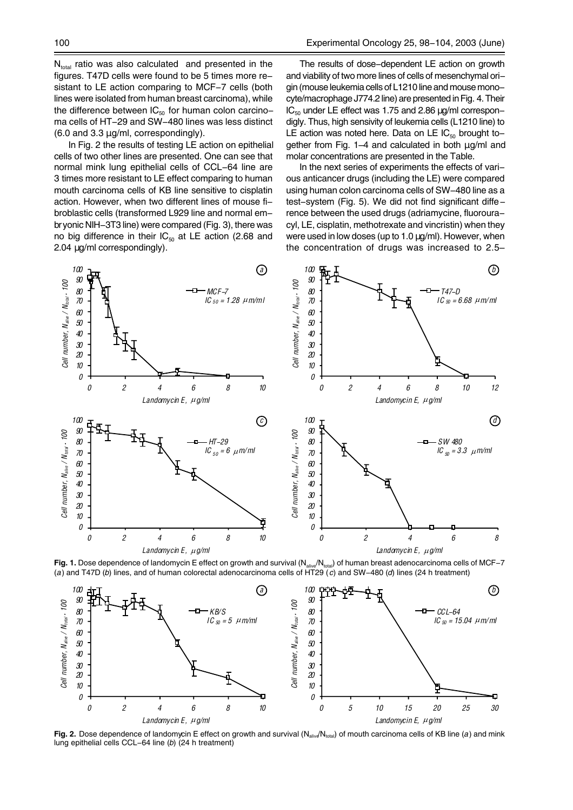$N<sub>total</sub>$  ratio was also calculated and presented in the figures. T47D cells were found to be 5 times more resistant to LE action comparing to MCF-7 cells (both lines were isolated from human breast carcinoma), while the difference between  $IC_{50}$  for human colon carcinoma cells of HT-29 and SW-480 lines was less distinct (6.0 and 3.3 µg/ml, correspondingly).

In Fig. 2 the results of testing LE action on epithelial cells of two other lines are presented. One can see that normal mink lung epithelial cells of CCL-64 line are 3 times more resistant to LE effect comparing to human mouth carcinoma cells of KB line sensitive to cisplatin action. However, when two different lines of mouse fibroblastic cells (transformed L929 line and normal embryonic NIH-3T3 line) were compared (Fig. 3), there was no big difference in their  $IC_{50}$  at LE action (2.68 and 2.04 µg/ml correspondingly).

The results of dose-dependent LE action on growth and viability of two more lines of cells of mesenchymal origin (mouse leukemia cells of L1210 line and mouse monocyte/macrophage J774.2 line) are presented in Fig. 4. Their  $IC_{50}$  under LE effect was 1.75 and 2.86  $\mu$ g/ml correspondigly. Thus, high sensivity of leukemia cells (L1210 line) to LE action was noted here. Data on LE  $IC_{50}$  brought together from Fig.  $1-4$  and calculated in both  $\mu q/ml$  and molar concentrations are presented in the Table.

In the next series of experiments the effects of various anticancer drugs (including the LE) were compared using human colon carcinoma cells of SW-480 line as a test-system (Fig. 5). We did not find significant difference between the used drugs (adriamycine, fluorouracyl, LE, cisplatin, methotrexate and vincristin) when they were used in low doses (up to 1.0 µg/ml). However, when the concentration of drugs was increased to 2.5–



**Fig. 1.** Dose dependence of landomycin E effect on growth and survival (N<sub>alive</sub>/N<sub>total</sub>) of human breast adenocarcinoma cells of MCF-7 (a) and T47D (b) lines, and of human colorectal adenocarcinoma cells of HT29 (c) and



**Fig. 2.** Dose dependence of landomycin E effect on growth and survival (N<sub>alive</sub>/N<sub>total</sub>) of mouth carcinoma cells of KB line (*a*) and mink lung epithelial cells CCL-64 line (*b*) (24 h treatment)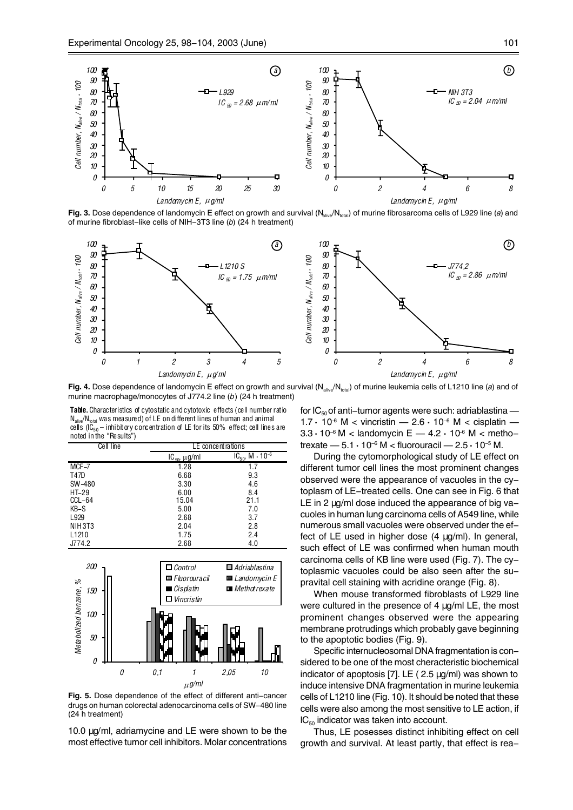

**Fig. 3.** Dose dependence of landomycin E effect on growth and survival (N<sub>alive</sub>/N<sub>total</sub>) of murine fibrosarcoma cells of L929 line (*a*) and of murine fibroblast–like cells of NIH–3T3 line (*b*) (24 h treatment)



**Fig. 4.** Dose dependence of landomycin E effect on growth and survival (N<sub>alive</sub>/N<sub>total</sub>) of murine leukemia cells of L1210 line (*a*) and of murine macrophage/monocytes of J774.2 line (*b*) (24 h treatment)

**Table.** Characteristics of cytostatic and cytotoxic effects (cell number ratio  $\mathsf{N}_{\mathsf{alive}}\mathsf{/N}_{\mathsf{total}}$  was measured) of LE on different lines of human and animal cells (IC $_{50}-$  inhibitory concentration of LE for its 50% effect; cell lines are noted in the "Results")

| Cell line         | LE concent rations     |                               |
|-------------------|------------------------|-------------------------------|
|                   | $IC_{50}$ , $\mu$ g/ml | $IC_{50}$ , $M \cdot 10^{-6}$ |
| MCF-7             | 1.28                   | 1.7                           |
| T47D              | 6.68                   | 9.3                           |
| SW-480            | 3.30                   | 4.6                           |
| HT-29             | 6.00                   | 8.4                           |
| CCL-64            | 15.04                  | 21.1                          |
| KB-S              | 5.00                   | 7.0                           |
| L929              | 2.68                   | 3.7                           |
| NIH 3T3           | 2.04                   | 2.8                           |
| L <sub>1210</sub> | 1.75                   | 2.4                           |
| J774.2            | 2.68                   | 4.0                           |



**Fig. 5.** Dose dependence of the effect of different anti-cancer drugs on human colorectal adenocarcinoma cells of SW-480 line (24 h treatment)

10.0 µg/ml, adriamycine and LE were shown to be the most effective tumor cell inhibitors. Molar concentrations for  $IC_{50}$  of anti-tumor agents were such: adriablastina — 1.7 **·** 10–6 M < vincristin — 2.6 **·** 10–6 M < cisplatin — 3.3 **·** 10–6 M < landomycin E — 4.2 **·** 10–6 M < methotrexate — 5.1 **·** 10–6 M < fluorouracil — 2.5 **·** 10–5 M.

During the cytomorphological study of LE effect on different tumor cell lines the most prominent changes observed were the appearance of vacuoles in the cytoplasm of LE-treated cells. One can see in Fig. 6 that LE in 2  $\mu$ g/ml dose induced the appearance of big vacuoles in human lung carcinoma cells of A549 line, while numerous small vacuoles were observed under the effect of LE used in higher dose (4 µg/ml). In general, such effect of LE was confirmed when human mouth carcinoma cells of KB line were used (Fig. 7). The cytoplasmic vacuoles could be also seen after the supravital cell staining with acridine orange (Fig. 8).

When mouse transformed fibroblasts of L929 line were cultured in the presence of 4  $\mu$ g/ml LE, the most prominent changes observed were the appearing membrane protrudings which probably gave beginning to the apoptotic bodies (Fig. 9).

Specific internucleosomal DNA fragmentation is considered to be one of the most cheracteristic biochemical indicator of apoptosis [7]. LE ( 2.5 µg/ml) was shown to induce intensive DNA fragmentation in murine leukemia cells of L1210 line (Fig. 10). It should be noted that these cells were also among the most sensitive to LE action, if  $IC_{50}$  indicator was taken into account.

Thus, LE posesses distinct inhibiting effect on cell growth and survival. At least partly, that effect is rea-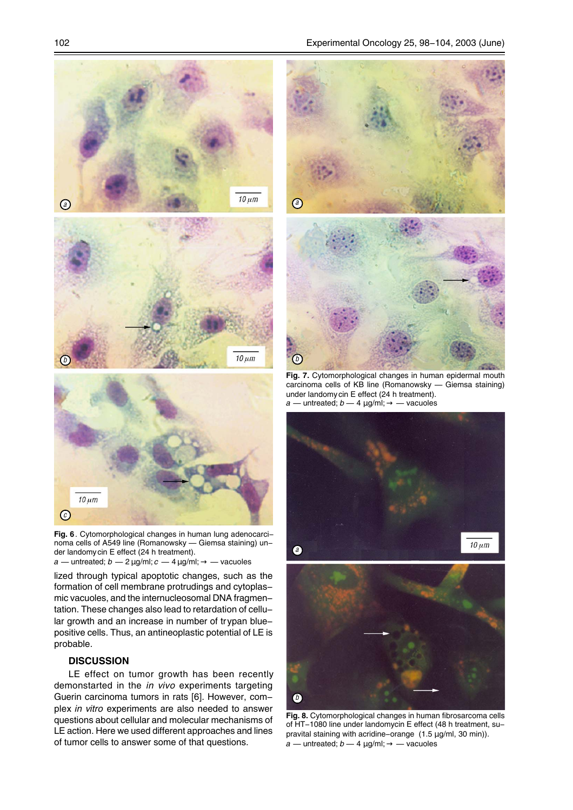



**Fig. 6**. Cytomorphological changes in human lung adenocarcinoma cells of A549 line (Romanowsky — Giemsa staining) under landomycin E effect (24 h treatment).  $a$  — untreated;  $b$  — 2  $\mu$ g/ml;  $c$  — 4  $\mu$ g/ml;  $\rightarrow$  — vacuoles

lized through typical apoptotic changes, such as the formation of cell membrane protrudings and cytoplasmic vacuoles, and the internucleosomal DNA fragmentation. These changes also lead to retardation of cellular growth and an increase in number of trypan bluepositive cells. Thus, an antineoplastic potential of LE is probable.

#### **DISCUSSION**

LE effect on tumor growth has been recently demonstarted in the *in vivo* experiments targeting Guerin carcinoma tumors in rats [6]. However, complex *in vitro* experiments are also needed to answer questions about cellular and molecular mechanisms of LE action. Here we used different approaches and lines of tumor cells to answer some of that questions.

*a b*

**Fig. 7.** Cytomorphological changes in human epidermal mouth carcinoma cells of KB line (Romanowsky — Giemsa staining) under landomycin E effect (24 h treatment). *a* — untreated; *b* — 4 µg/ml; → — vacuoles



**Fig. 8.** Cytomorphological changes in human fibrosarcoma cells of HT-1080 line under landomycin E effect (48 h treatment, supravital staining with acridine-orange (1.5 µg/ml, 30 min)).  $a$  — untreated;  $b$  — 4  $\mu$ g/ml;  $\rightarrow$  — vacuoles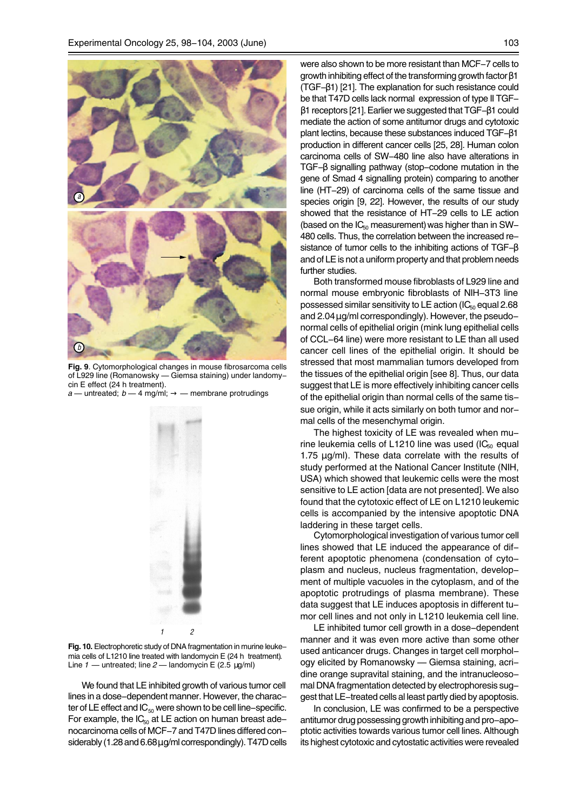

**Fig. 9**. Cytomorphological changes in mouse fibrosarcoma cells of L929 line (Romanowsky — Giemsa staining) under landomycin E effect (24 h treatment).

 $a$  — untreated;  $b$  — 4 mg/ml;  $\rightarrow$  — membrane protrudings



Fig. 10. Electrophoretic study of DNA fragmentation in murine leukemia cells of L1210 line treated with landomycin E (24 h treatment). Line *1* — untreated; line *2* — landomycin E (2.5 µg/ml)

We found that LE inhibited growth of various tumor cell lines in a dose-dependent manner. However, the character of LE effect and  $IC_{50}$  were shown to be cell line-specific. For example, the  $IC_{50}$  at LE action on human breast adenocarcinoma cells of MCF-7 and T47D lines differed considerably (1.28 and 6.68 µg/ml correspondingly). T47D cells were also shown to be more resistant than MCF-7 cells to growth inhibiting effect of the transforming growth factor β1 (TGF-β1) [21]. The explanation for such resistance could be that T47D cells lack normal expression of type II TGFβ1 receptors [21]. Earlier we suggested that TGF-β1 could mediate the action of some antitumor drugs and cytotoxic plant lectins, because these substances induced TGF-β1 production in different cancer cells [25, 28]. Human colon carcinoma cells of SW-480 line also have alterations in TGF-β signalling pathway (stop-codone mutation in the gene of Smad 4 signalling protein) comparing to another line (HT-29) of carcinoma cells of the same tissue and species origin [9, 22]. However, the results of our study showed that the resistance of HT-29 cells to LE action (based on the  $IC_{50}$  measurement) was higher than in SW-480 cells. Thus, the correlation between the increased resistance of tumor cells to the inhibiting actions of TGF-β and of LE is not a uniform property and that problem needs further studies.

Both transformed mouse fibroblasts of L929 line and normal mouse embryonic fibroblasts of NIH-3T3 line possessed similar sensitivity to LE action ( $IC_{50}$  equal 2.68 and  $2.04 \mu$ g/ml correspondingly). However, the pseudonormal cells of epithelial origin (mink lung epithelial cells of CCL-64 line) were more resistant to LE than all used cancer cell lines of the epithelial origin. It should be stressed that most mammalian tumors developed from the tissues of the epithelial origin [see 8]. Thus, our data suggest that LE is more effectively inhibiting cancer cells of the epithelial origin than normal cells of the same tissue origin, while it acts similarly on both tumor and normal cells of the mesenchymal origin.

The highest toxicity of LE was revealed when murine leukemia cells of L1210 line was used ( $IC_{50}$  equal 1.75 µg/ml). These data correlate with the results of study performed at the National Cancer Institute (NIH, USA) which showed that leukemic cells were the most sensitive to LE action [data are not presented]. We also found that the cytotoxic effect of LE on L1210 leukemic cells is accompanied by the intensive apoptotic DNA laddering in these target cells.

Cytomorphological investigation of various tumor cell lines showed that LE induced the appearance of different apoptotic phenomena (condensation of cytoplasm and nucleus, nucleus fragmentation, development of multiple vacuoles in the cytoplasm, and of the apoptotic protrudings of plasma membrane). These data suggest that LE induces apoptosis in different tumor cell lines and not only in L1210 leukemia cell line.

LE inhibited tumor cell growth in a dose-dependent manner and it was even more active than some other used anticancer drugs. Changes in target cell morphology elicited by Romanowsky — Giemsa staining, acridine orange supravital staining, and the intranucleosomal DNA fragmentation detected by electrophoresis suggest that LE-treated cells al least partly died by apoptosis.

In conclusion, LE was confirmed to be a perspective antitumor drug possessing growth inhibiting and pro-apoptotic activities towards various tumor cell lines. Although its highest cytotoxic and cytostatic activities were revealed